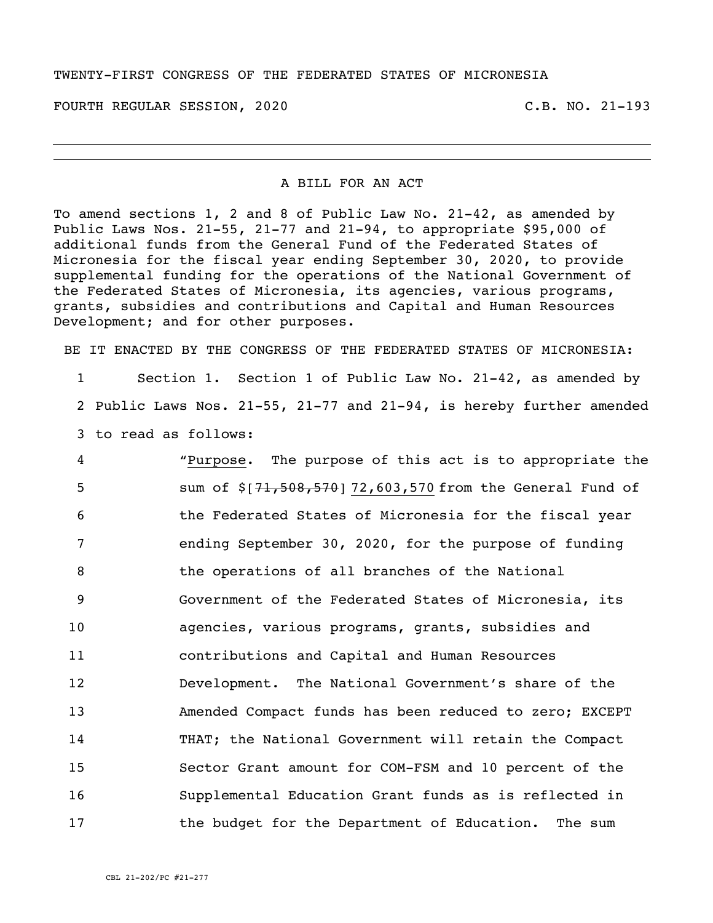## TWENTY-FIRST CONGRESS OF THE FEDERATED STATES OF MICRONESIA

FOURTH REGULAR SESSION, 2020 C.B. NO. 21-193

## A BILL FOR AN ACT

To amend sections 1, 2 and 8 of Public Law No. 21-42, as amended by Public Laws Nos. 21-55, 21-77 and 21-94, to appropriate \$95,000 of additional funds from the General Fund of the Federated States of Micronesia for the fiscal year ending September 30, 2020, to provide supplemental funding for the operations of the National Government of the Federated States of Micronesia, its agencies, various programs, grants, subsidies and contributions and Capital and Human Resources Development; and for other purposes.

BE IT ENACTED BY THE CONGRESS OF THE FEDERATED STATES OF MICRONESIA:

1 Section 1. Section 1 of Public Law No. 21-42, as amended by 2 Public Laws Nos. 21-55, 21-77 and 21-94, is hereby further amended 3 to read as follows:

 "Purpose. The purpose of this act is to appropriate the 5 sum of  $$[71,508,570]$  72,603,570 from the General Fund of the Federated States of Micronesia for the fiscal year ending September 30, 2020, for the purpose of funding 8 the operations of all branches of the National Government of the Federated States of Micronesia, its agencies, various programs, grants, subsidies and contributions and Capital and Human Resources Development. The National Government's share of the Amended Compact funds has been reduced to zero; EXCEPT THAT; the National Government will retain the Compact Sector Grant amount for COM-FSM and 10 percent of the Supplemental Education Grant funds as is reflected in 17 the budget for the Department of Education. The sum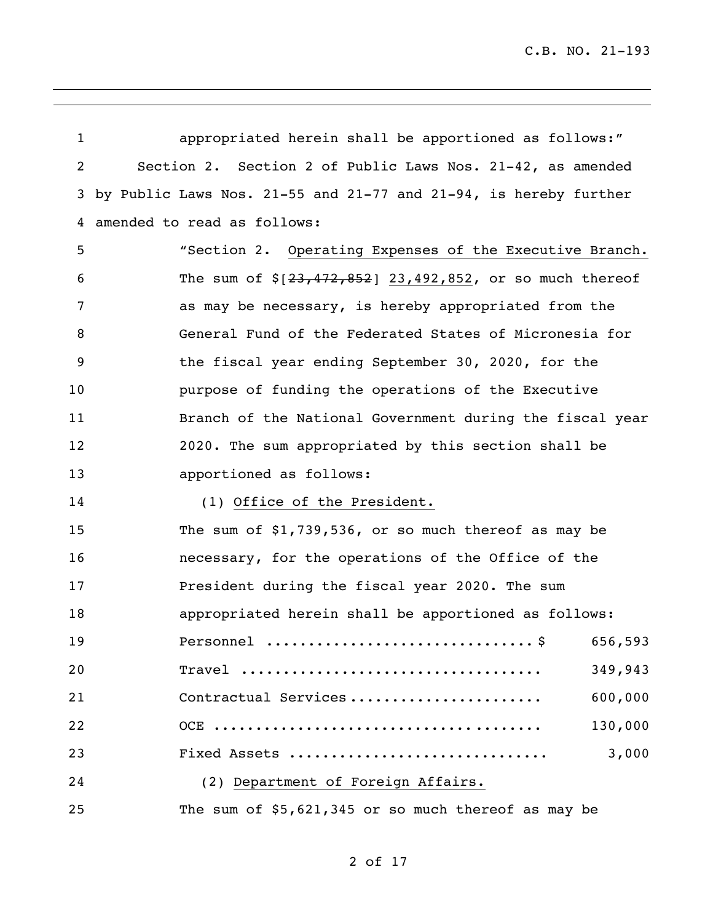| $\mathbf{1}$ | appropriated herein shall be apportioned as follows:"            |
|--------------|------------------------------------------------------------------|
| 2            | Section 2. Section 2 of Public Laws Nos. 21-42, as amended       |
| 3            | by Public Laws Nos. 21-55 and 21-77 and 21-94, is hereby further |
| 4            | amended to read as follows:                                      |
| 5            | "Section 2. Operating Expenses of the Executive Branch.          |
| 6            | The sum of $$[23, 472, 852]$ 23,492,852, or so much thereof      |
| 7            | as may be necessary, is hereby appropriated from the             |
| 8            | General Fund of the Federated States of Micronesia for           |
| 9            | the fiscal year ending September 30, 2020, for the               |
| 10           | purpose of funding the operations of the Executive               |
| 11           | Branch of the National Government during the fiscal year         |
| 12           | 2020. The sum appropriated by this section shall be              |
| 13           | apportioned as follows:                                          |
| 14           | (1) Office of the President.                                     |
| 15           | The sum of $$1,739,536$ , or so much thereof as may be           |
| 16           | necessary, for the operations of the Office of the               |
| 17           | President during the fiscal year 2020. The sum                   |
| 18           | appropriated herein shall be apportioned as follows:             |
| 19           | 656,593                                                          |
| 20           | 349,943<br>$\text{Trace}$                                        |
| 21           | 600,000<br>Contractual Services                                  |
| 22           | 130,000                                                          |
| 23           | 3,000<br>Fixed Assets                                            |
| 24           | (2) Department of Foreign Affairs.                               |
| 25           | The sum of \$5,621,345 or so much thereof as may be              |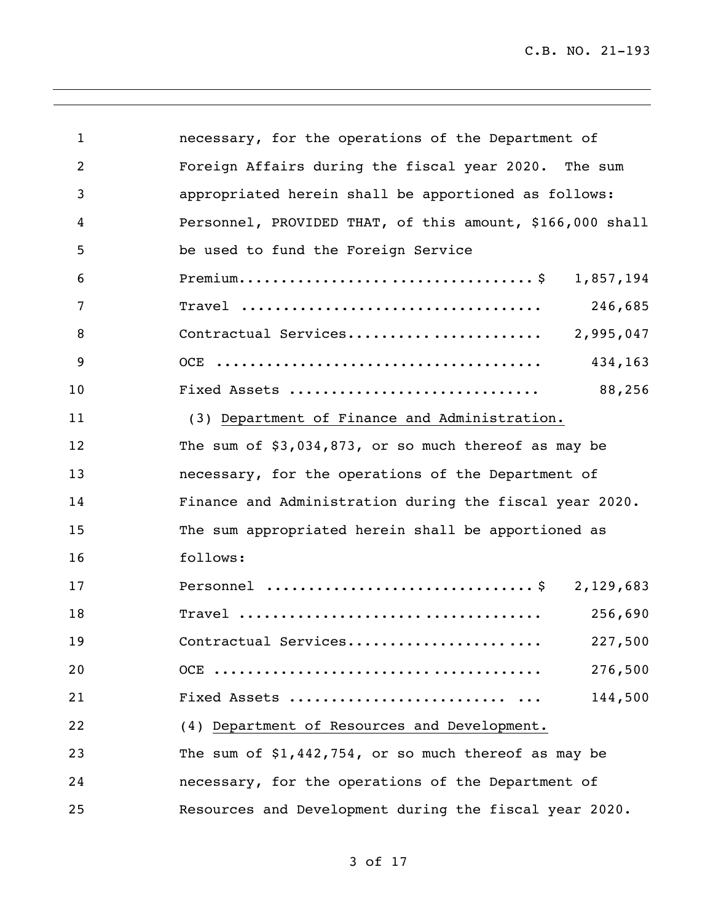C.B. NO. 21-193

| $\mathbf{1}$ | necessary, for the operations of the Department of        |
|--------------|-----------------------------------------------------------|
| 2            | Foreign Affairs during the fiscal year 2020. The sum      |
| 3            | appropriated herein shall be apportioned as follows:      |
| 4            | Personnel, PROVIDED THAT, of this amount, \$166,000 shall |
| 5            | be used to fund the Foreign Service                       |
| 6            | 1,857,194                                                 |
| 7            | 246,685                                                   |
| 8            | 2,995,047<br>Contractual Services                         |
| 9            | 434,163                                                   |
| 10           | 88,256<br>Fixed Assets                                    |
| 11           | (3) Department of Finance and Administration.             |
| 12           | The sum of $$3,034,873$ , or so much thereof as may be    |
| 13           | necessary, for the operations of the Department of        |
| 14           | Finance and Administration during the fiscal year 2020.   |
| 15           | The sum appropriated herein shall be apportioned as       |
| 16           | follows:                                                  |
| 17           | 2,129,683                                                 |
| 18           | 256,690                                                   |
| 19           | Contractual Services<br>227,500                           |
| 20           | 276,500                                                   |
| 21           | 144,500                                                   |
| 22           | (4) Department of Resources and Development.              |
| 23           | The sum of $$1,442,754$ , or so much thereof as may be    |
| 24           | necessary, for the operations of the Department of        |
| 25           | Resources and Development during the fiscal year 2020.    |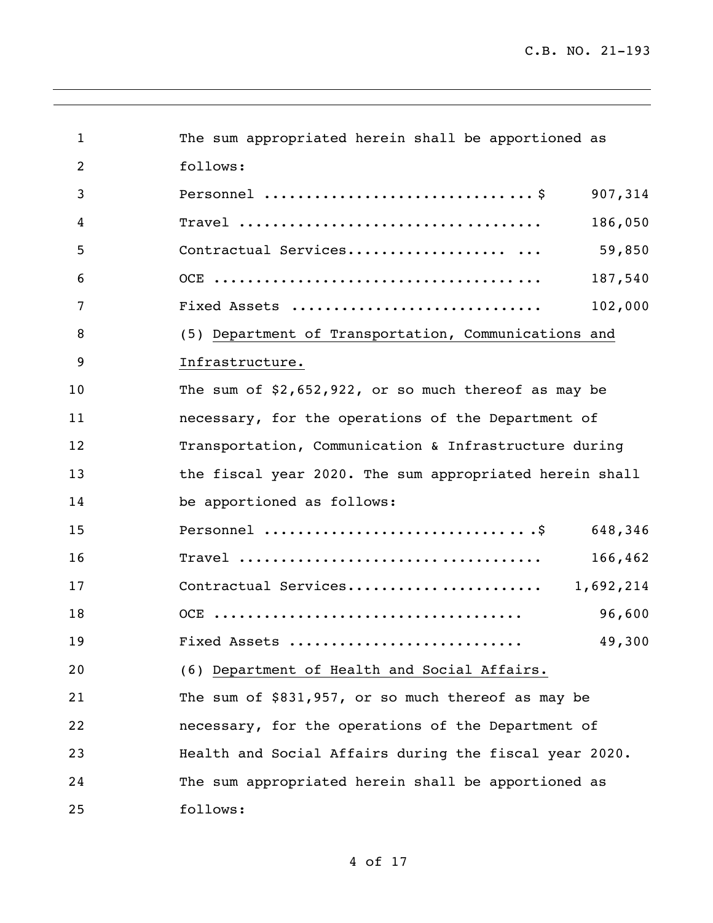| $\mathbf{1}$   | The sum appropriated herein shall be apportioned as                  |
|----------------|----------------------------------------------------------------------|
| $\overline{2}$ | follows:                                                             |
| 3              | Personnel $\dots\dots\dots\dots\dots\dots\dots\dots\dots$<br>907,314 |
| 4              | 186,050                                                              |
| 5              | 59,850<br>Contractual Services                                       |
| 6              | 187,540                                                              |
| 7              | Fixed Assets<br>102,000                                              |
| 8              | (5) Department of Transportation, Communications and                 |
| 9              | Infrastructure.                                                      |
| 10             | The sum of $$2,652,922$ , or so much thereof as may be               |
| 11             | necessary, for the operations of the Department of                   |
| 12             | Transportation, Communication & Infrastructure during                |
| 13             | the fiscal year 2020. The sum appropriated herein shall              |
| 14             | be apportioned as follows:                                           |
| 15             | 648,346                                                              |
| 16             | 166,462                                                              |
| 17             | Contractual Services<br>1,692,214                                    |
| 18             | 96,600                                                               |
| 19             | 49,300<br>Fixed Assets                                               |
| 20             | (6) Department of Health and Social Affairs.                         |
| 21             | The sum of \$831,957, or so much thereof as may be                   |
| 22             | necessary, for the operations of the Department of                   |
| 23             | Health and Social Affairs during the fiscal year 2020.               |
| 24             | The sum appropriated herein shall be apportioned as                  |
| 25             | follows:                                                             |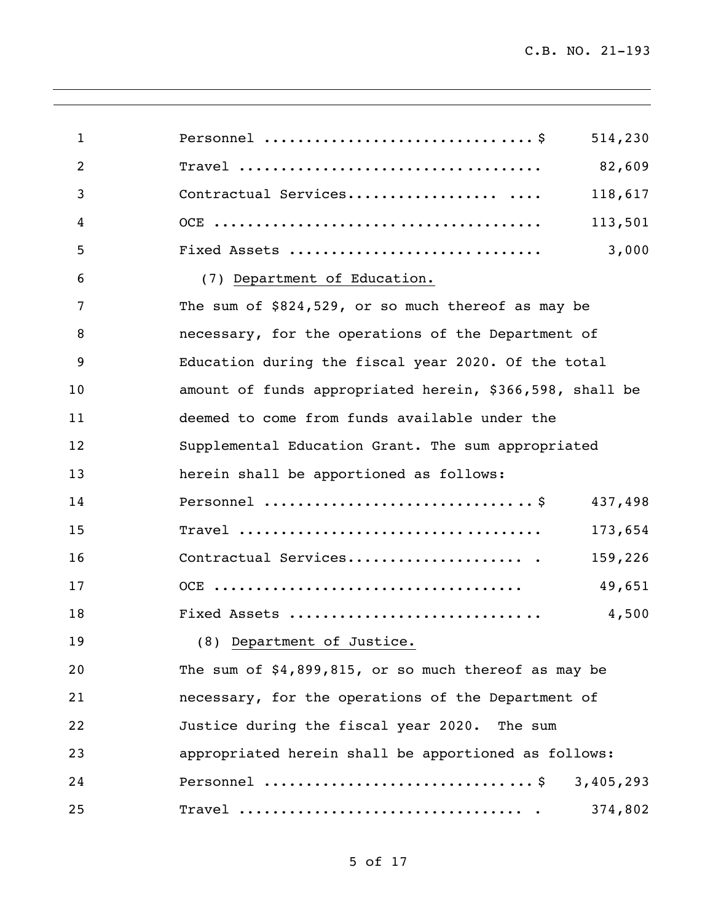| $\mathbf{1}$ | Personnel $\dots\dots\dots\dots\dots\dots\dots\dots\dots\dots$<br>514,230 |
|--------------|---------------------------------------------------------------------------|
| 2            | 82,609                                                                    |
| 3            | Contractual Services<br>118,617                                           |
| 4            | 113,501                                                                   |
| 5            | 3,000<br>Fixed Assets                                                     |
| 6            | (7) Department of Education.                                              |
| 7            | The sum of \$824,529, or so much thereof as may be                        |
| 8            | necessary, for the operations of the Department of                        |
| 9            | Education during the fiscal year 2020. Of the total                       |
| 10           | amount of funds appropriated herein, \$366,598, shall be                  |
| 11           | deemed to come from funds available under the                             |
| 12           | Supplemental Education Grant. The sum appropriated                        |
| 13           | herein shall be apportioned as follows:                                   |
| 14           | 437,498                                                                   |
| 15           | 173,654                                                                   |
| 16           | Contractual Services<br>159,226                                           |
| 17           | 49,651                                                                    |
| 18           | Fixed Assets<br>4,500                                                     |
| 19           | (8) Department of Justice.                                                |
| 20           | The sum of \$4,899,815, or so much thereof as may be                      |
| 21           | necessary, for the operations of the Department of                        |
| 22           | Justice during the fiscal year 2020. The sum                              |
| 23           | appropriated herein shall be apportioned as follows:                      |
| 24           | Personnel \$ 3,405,293                                                    |
| 25           | Travel<br>374,802                                                         |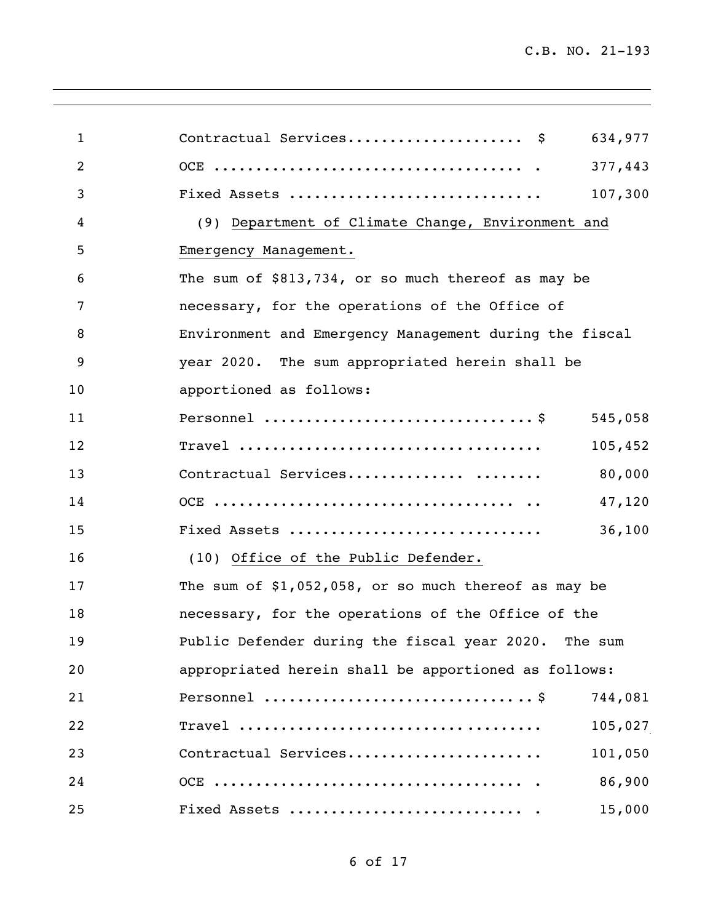| $\mathbf{1}$   | Contractual Services \$<br>634,977                     |
|----------------|--------------------------------------------------------|
| $\overline{2}$ | 377,443                                                |
| 3              | Fixed Assets<br>107,300                                |
| 4              | (9) Department of Climate Change, Environment and      |
| 5              | Emergency Management.                                  |
| 6              | The sum of \$813,734, or so much thereof as may be     |
| 7              | necessary, for the operations of the Office of         |
| 8              | Environment and Emergency Management during the fiscal |
| 9              | year 2020. The sum appropriated herein shall be        |
| 10             | apportioned as follows:                                |
| 11             | 545,058                                                |
| 12             | 105,452                                                |
| 13             | Contractual Services<br>80,000                         |
| 14             | 47,120                                                 |
| 15             | 36,100<br>Fixed Assets                                 |
| 16             | (10) Office of the Public Defender.                    |
| 17             | The sum of $$1,052,058$ , or so much thereof as may be |
| 18             | necessary, for the operations of the Office of the     |
| 19             | Public Defender during the fiscal year 2020. The sum   |
| 20             | appropriated herein shall be apportioned as follows:   |
| 21             | 744,081                                                |
| 22             | 105,027                                                |
| 23             | Contractual Services<br>101,050                        |
| 24             | 86,900                                                 |
| 25             | 15,000                                                 |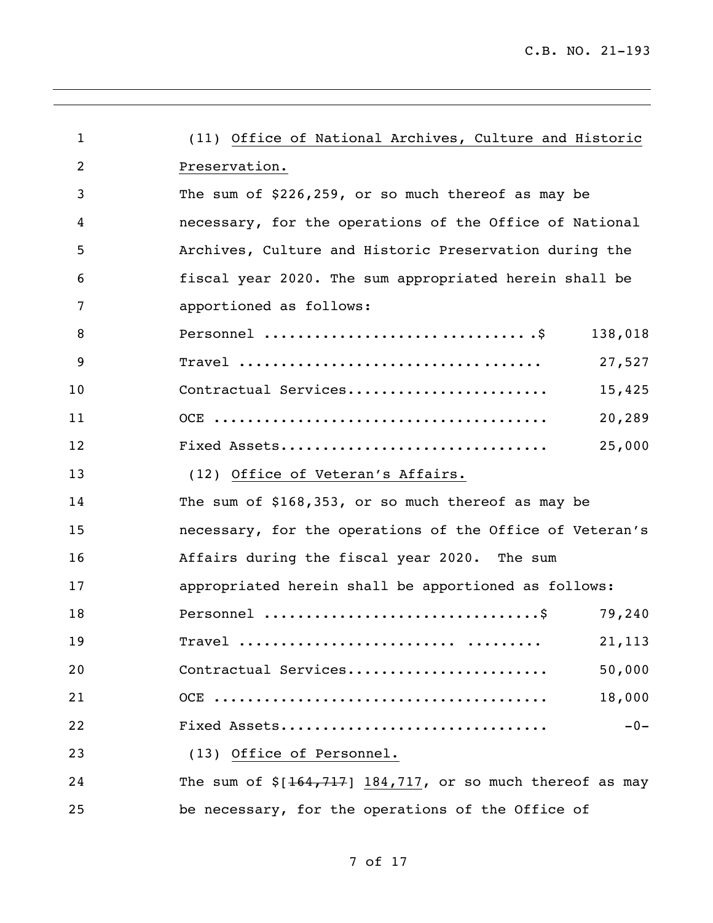| $\mathbf{1}$   | (11) Office of National Archives, Culture and Historic       |         |
|----------------|--------------------------------------------------------------|---------|
| $\overline{2}$ | Preservation.                                                |         |
| 3              | The sum of \$226,259, or so much thereof as may be           |         |
| 4              | necessary, for the operations of the Office of National      |         |
| 5              | Archives, Culture and Historic Preservation during the       |         |
| 6              | fiscal year 2020. The sum appropriated herein shall be       |         |
| 7              | apportioned as follows:                                      |         |
| 8              |                                                              | 138,018 |
| 9              |                                                              | 27,527  |
| 10             | Contractual Services                                         | 15,425  |
| 11             |                                                              | 20,289  |
| 12             | Fixed Assets                                                 | 25,000  |
| 13             | (12) Office of Veteran's Affairs.                            |         |
| 14             | The sum of \$168,353, or so much thereof as may be           |         |
| 15             | necessary, for the operations of the Office of Veteran's     |         |
| 16             | Affairs during the fiscal year 2020. The sum                 |         |
| 17             | appropriated herein shall be apportioned as follows:         |         |
| 18             |                                                              | 79,240  |
| 19             | Travel                                                       | 21, 113 |
| 20             | Contractual Services                                         | 50,000  |
| 21             |                                                              | 18,000  |
| 22             | Fixed Assets                                                 | $-0-$   |
| 23             | (13) Office of Personnel.                                    |         |
| 24             | The sum of $\S[164, 717]$ 184,717, or so much thereof as may |         |
| 25             | be necessary, for the operations of the Office of            |         |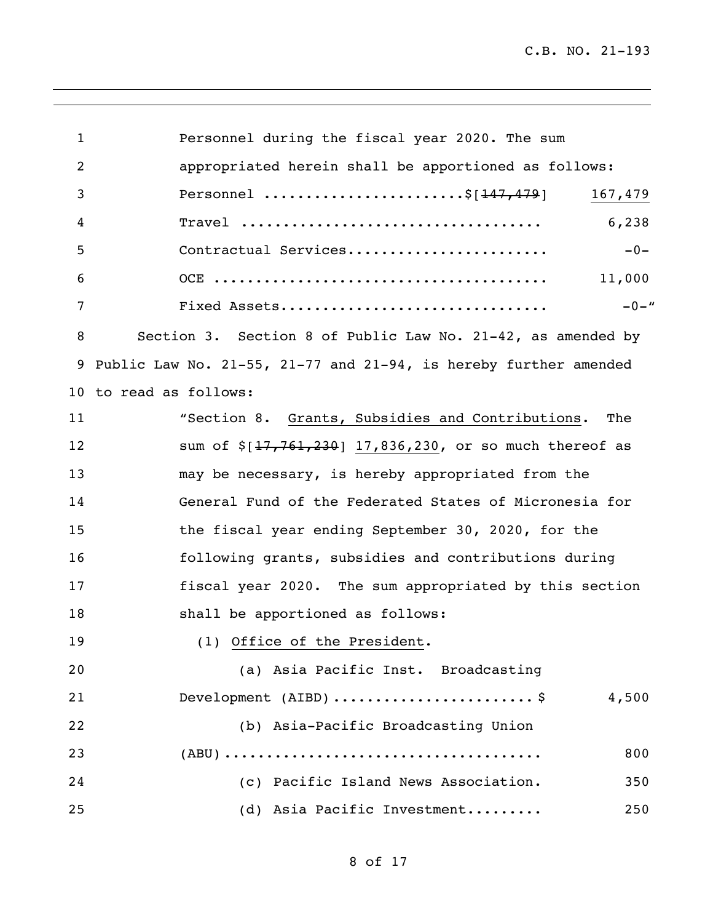C.B. NO. 21-193

 Personnel during the fiscal year 2020. The sum appropriated herein shall be apportioned as follows: 3 Personnel .........................\$[<del>147,479</del>] 167,479 Travel .................................... 6,238 Contractual Services........................ -0- OCE ........................................ 11,000 Fixed Assets................................ -0-" Section 3. Section 8 of Public Law No. 21-42, as amended by Public Law No. 21-55, 21-77 and 21-94, is hereby further amended to read as follows: "Section 8. Grants, Subsidies and Contributions. The 12 sum of \$[17,761,230] 17,836,230, or so much thereof as may be necessary, is hereby appropriated from the General Fund of the Federated States of Micronesia for the fiscal year ending September 30, 2020, for the following grants, subsidies and contributions during fiscal year 2020. The sum appropriated by this section shall be apportioned as follows: 19 (1) Office of the President. (a) Asia Pacific Inst. Broadcasting Development (AIBD) ........................ \$ 4,500 (b) Asia-Pacific Broadcasting Union (ABU) ...................................... 800 (c) Pacific Island News Association. 350 (d) Asia Pacific Investment......... 250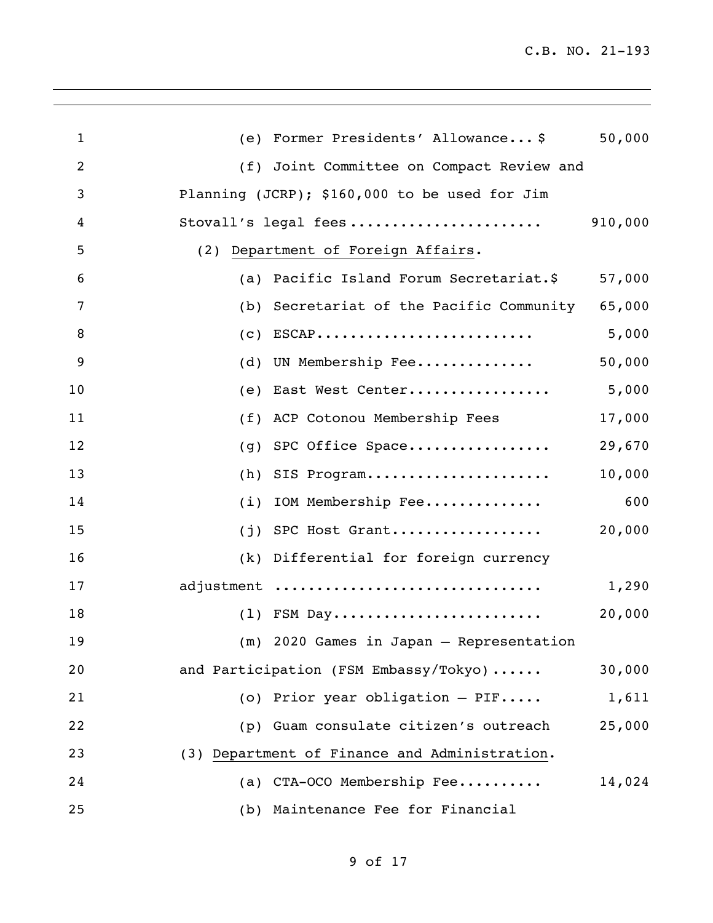| $\mathbf{1}$   | Former Presidents' Allowance\$<br>(e)                                         | 50,000 |
|----------------|-------------------------------------------------------------------------------|--------|
| $\overline{2}$ | (f) Joint Committee on Compact Review and                                     |        |
| 3              | Planning (JCRP); \$160,000 to be used for Jim                                 |        |
| 4              | Stovall's legal fees 910,000                                                  |        |
| 5              | (2) Department of Foreign Affairs.                                            |        |
| 6              | Pacific Island Forum Secretariat.\$<br>(a)                                    | 57,000 |
| 7              | Secretariat of the Pacific Community<br>(b)                                   | 65,000 |
| 8              | $\texttt{ESCAP} \dots \dots \dots \dots \dots \dots \dots \dots \dots$<br>(C) | 5,000  |
| 9              | UN Membership Fee<br>(d)                                                      | 50,000 |
| 10             | East West Center<br>(e)                                                       | 5,000  |
| 11             | ACP Cotonou Membership Fees<br>(f)                                            | 17,000 |
| 12             | SPC Office Space<br>(g)                                                       | 29,670 |
| 13             | SIS Program<br>(h)                                                            | 10,000 |
| 14             | IOM Membership Fee<br>(i)                                                     | 600    |
| 15             | SPC Host Grant<br>(j)                                                         | 20,000 |
| 16             | (k) Differential for foreign currency                                         |        |
| 17             | adjustment                                                                    | 1,290  |
| 18             |                                                                               | 20,000 |
| 19             | (m) 2020 Games in Japan - Representation                                      |        |
| 20             | and Participation (FSM Embassy/Tokyo)                                         | 30,000 |
| 21             | (o) Prior year obligation $-$ PIF                                             | 1,611  |
| 22             | (p) Guam consulate citizen's outreach                                         | 25,000 |
| 23             | (3) Department of Finance and Administration.                                 |        |
| 24             | (a) CTA-OCO Membership Fee                                                    | 14,024 |
| 25             | (b) Maintenance Fee for Financial                                             |        |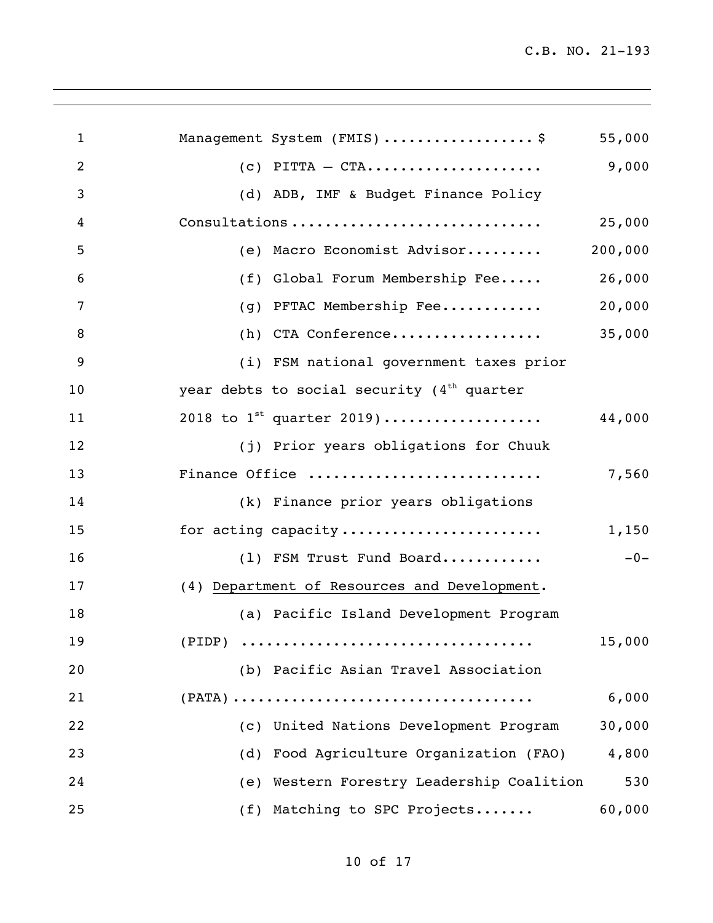| $\mathbf{1}$ |     | Management System (FMIS) \$                  | 55,000  |
|--------------|-----|----------------------------------------------|---------|
| 2            |     | $(c)$ PITTA - CTA                            | 9,000   |
| 3            |     | (d) ADB, IMF & Budget Finance Policy         |         |
| 4            |     | Consultations                                | 25,000  |
| 5            |     | (e) Macro Economist Advisor                  | 200,000 |
| 6            |     | (f) Global Forum Membership Fee              | 26,000  |
| 7            | (g) | PFTAC Membership Fee                         | 20,000  |
| 8            |     | (h) CTA Conference                           | 35,000  |
| 9            |     | (i) FSM national government taxes prior      |         |
| 10           |     | year debts to social security $(4th$ quarter |         |
| 11           |     | 2018 to $1^{st}$ quarter 2019)               | 44,000  |
| 12           |     | (j) Prior years obligations for Chuuk        |         |
| 13           |     | Finance Office                               | 7,560   |
| 14           |     | (k) Finance prior years obligations          |         |
| 15           |     | for acting capacity                          | 1,150   |
| 16           |     | (1) FSM Trust Fund Board                     | $-0-$   |
| 17           |     | (4) Department of Resources and Development. |         |
| 18           |     | (a) Pacific Island Development Program       |         |
| 19           |     |                                              | 15,000  |
| 20           |     | (b) Pacific Asian Travel Association         |         |
| 21           |     |                                              | 6,000   |
| 22           |     | (c) United Nations Development Program       | 30,000  |
| 23           | (d) | Food Agriculture Organization (FAO)          | 4,800   |
| 24           |     | (e) Western Forestry Leadership Coalition    | 530     |
| 25           |     | (f) Matching to SPC Projects                 | 60,000  |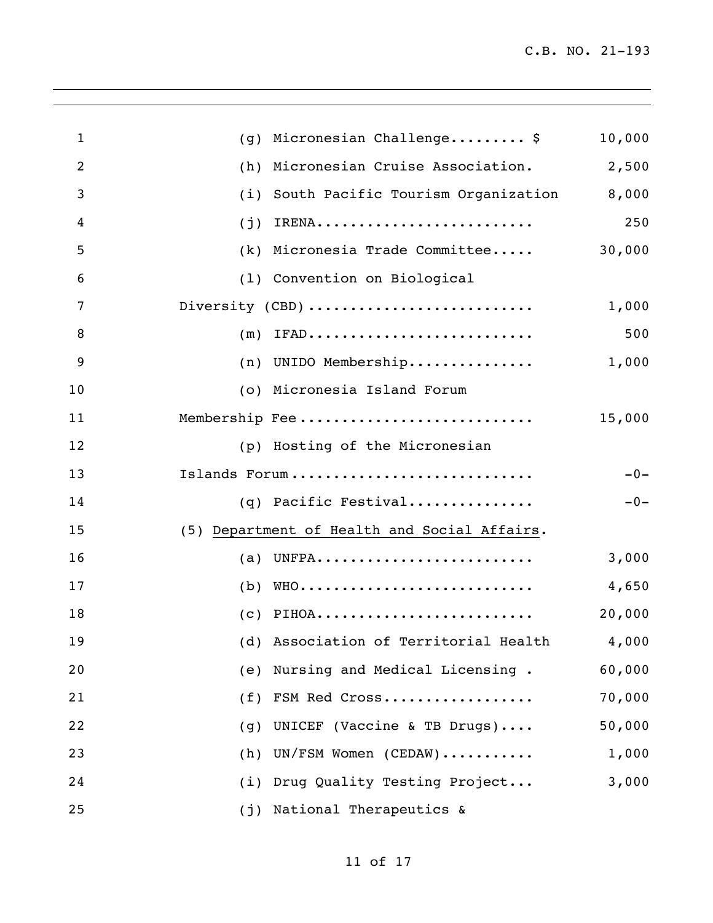| $\mathbf{1}$ | Micronesian Challenge\$<br>10,000<br>(g)           |       |
|--------------|----------------------------------------------------|-------|
| 2            | 2,500<br>Micronesian Cruise Association.<br>(h)    |       |
| 3            | 8,000<br>South Pacific Tourism Organization<br>(i) |       |
| 4            | IRENA<br>(j)                                       | 250   |
| 5            | 30,000<br>Micronesia Trade Committee<br>(k)        |       |
| 6            | (1) Convention on Biological                       |       |
| 7            | Diversity (CBD)<br>1,000                           |       |
| 8            | IFAD<br>(m)                                        | 500   |
| 9            | 1,000<br>(n) UNIDO Membership                      |       |
| 10           | (o) Micronesia Island Forum                        |       |
| 11           | Membership Fee<br>15,000                           |       |
| 12           | (p) Hosting of the Micronesian                     |       |
| 13           | Islands Forum                                      | $-0-$ |
| 14           | $(q)$ Pacific Festival                             | $-0-$ |
| 15           | (5) Department of Health and Social Affairs.       |       |
| 16           | UNFPA<br>3,000<br>(a)                              |       |
| 17           | WHO<br>4,650<br>(b)                                |       |
| 18           | $(c)$ PIHOA<br>20,000                              |       |
| 19           | (d) Association of Territorial Health 4,000        |       |
| 20           | (e) Nursing and Medical Licensing.<br>60,000       |       |
| 21           | 70,000<br>(f) FSM Red Cross                        |       |
| 22           | (g) UNICEF (Vaccine & TB Drugs)<br>50,000          |       |
| 23           | (h) UN/FSM Women (CEDAW)<br>1,000                  |       |
| 24           | (i) Drug Quality Testing Project<br>3,000          |       |
| 25           | (j) National Therapeutics &                        |       |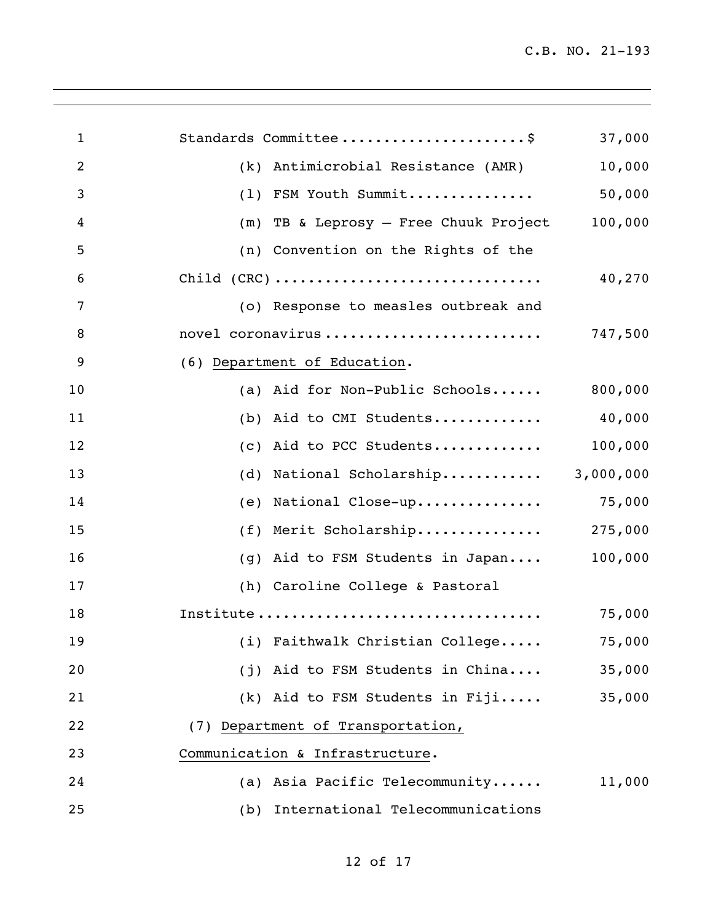| $\mathbf{1}$   | Standards Committee\$                    | 37,000    |
|----------------|------------------------------------------|-----------|
| $\overline{2}$ | (k) Antimicrobial Resistance (AMR)       | 10,000    |
| 3              | FSM Youth Summit<br>(1)                  | 50,000    |
| 4              | TB & Leprosy - Free Chuuk Project<br>(m) | 100,000   |
| 5              | (n) Convention on the Rights of the      |           |
| 6              |                                          | 40,270    |
| 7              | (o) Response to measles outbreak and     |           |
| 8              | novel coronavirus                        | 747,500   |
| 9              | (6) Department of Education.             |           |
| 10             | (a) Aid for Non-Public Schools           | 800,000   |
| 11             | (b) Aid to CMI Students                  | 40,000    |
| 12             | Aid to PCC Students<br>(C)               | 100,000   |
| 13             | National Scholarship<br>(d)              | 3,000,000 |
| 14             | National Close-up 75,000<br>(e)          |           |
| 15             | (f) Merit Scholarship                    | 275,000   |
| 16             | Aid to FSM Students in Japan<br>(q)      | 100,000   |
| 17             | (h) Caroline College & Pastoral          |           |
| 18             | Institute                                | 75,000    |
| 19             | (i) Faithwalk Christian College          | 75,000    |
| 20             | (j) Aid to FSM Students in China         | 35,000    |
| 21             | $(k)$ Aid to FSM Students in Fiji        | 35,000    |
| 22             | (7) Department of Transportation,        |           |
| 23             | Communication & Infrastructure.          |           |
| 24             | (a) Asia Pacific Telecommunity           | 11,000    |
| 25             | (b) International Telecommunications     |           |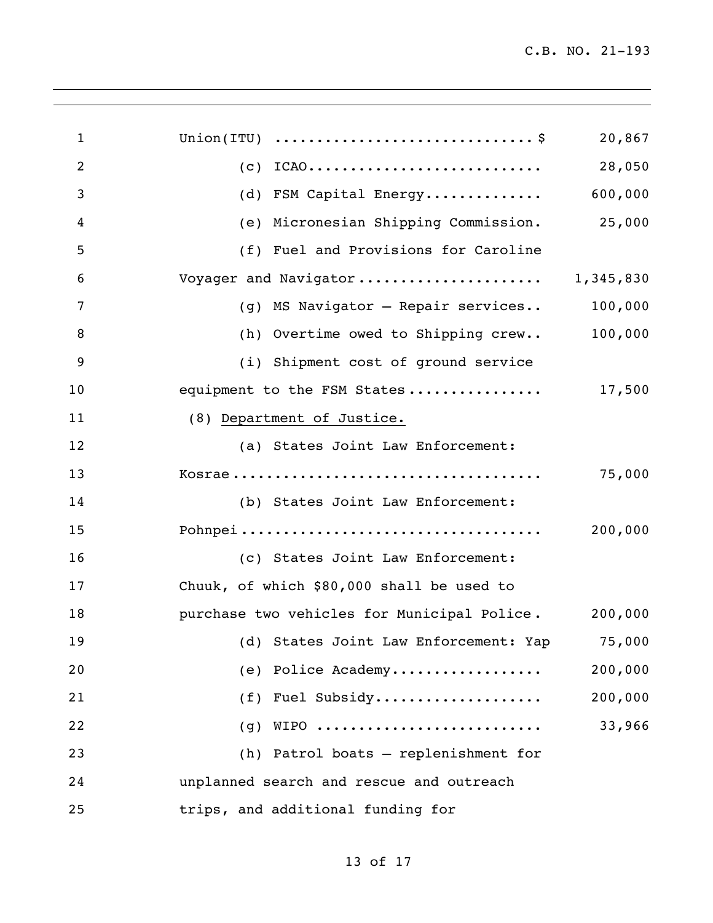| $\mathbf{1}$   | Union(ITU) $\ldots \ldots \ldots \ldots \ldots \ldots \ldots \ldots \ldots$<br>20,867 |  |
|----------------|---------------------------------------------------------------------------------------|--|
| $\overline{2}$ | $(c)$ ICAO<br>28,050                                                                  |  |
| $\mathbf{3}$   | (d) FSM Capital Energy 600,000                                                        |  |
| 4              | (e) Micronesian Shipping Commission. 25,000                                           |  |
| 5              | (f) Fuel and Provisions for Caroline                                                  |  |
| 6              | Voyager and Navigator 1,345,830                                                       |  |
| 7              | (g) MS Navigator - Repair services 100,000                                            |  |
| 8              | (h) Overtime owed to Shipping crew 100,000                                            |  |
| 9              | (i) Shipment cost of ground service                                                   |  |
| 10             | equipment to the FSM States 17,500                                                    |  |
| 11             | (8) Department of Justice.                                                            |  |
| 12             | (a) States Joint Law Enforcement:                                                     |  |
| 13             | 75,000                                                                                |  |
| 14             | (b) States Joint Law Enforcement:                                                     |  |
| 15             | 200,000                                                                               |  |
| 16             | (c) States Joint Law Enforcement:                                                     |  |
| 17             | Chuuk, of which \$80,000 shall be used to                                             |  |
| 18             | purchase two vehicles for Municipal Police. 200,000                                   |  |
| 19             | (d) States Joint Law Enforcement: Yap 75,000                                          |  |
| 20             | 200,000<br>(e) Police Academy                                                         |  |
| 21             | (f) Fuel Subsidy<br>200,000                                                           |  |
| 22             | 33,966<br>$(g)$ WIPO                                                                  |  |
| 23             | (h) Patrol boats - replenishment for                                                  |  |
| 24             | unplanned search and rescue and outreach                                              |  |
| 25             | trips, and additional funding for                                                     |  |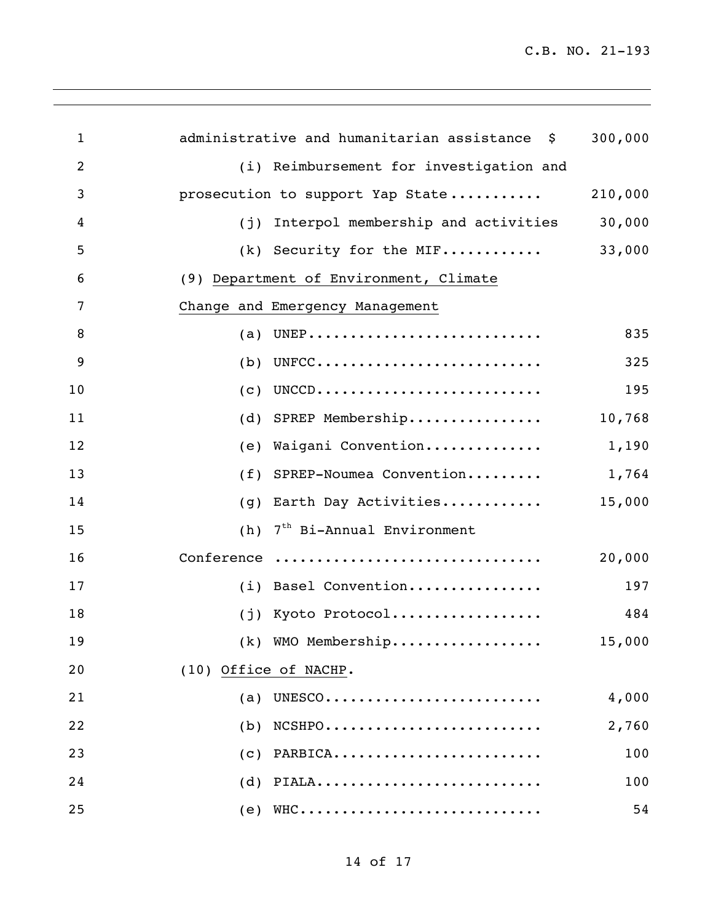| $\mathbf{1}$   | administrative and humanitarian assistance \$ | 300,000 |
|----------------|-----------------------------------------------|---------|
| $\overline{2}$ | (i) Reimbursement for investigation and       |         |
| 3              | prosecution to support Yap State              | 210,000 |
| 4              | Interpol membership and activities<br>(j)     | 30,000  |
| 5              | $(k)$ Security for the MIF                    | 33,000  |
| 6              | (9) Department of Environment, Climate        |         |
| 7              | Change and Emergency Management               |         |
| 8              | UNEP<br>(a)                                   | 835     |
| 9              | UNFCC<br>(b)                                  | 325     |
| 10             | UNCCD<br>(c)                                  | 195     |
| 11             | (d) SPREP Membership                          | 10,768  |
| 12             | Waigani Convention<br>(e)                     | 1,190   |
| 13             | SPREP-Noumea Convention<br>(f)                | 1,764   |
| 14             | Earth Day Activities<br>(g)                   | 15,000  |
| 15             | 7 <sup>th</sup> Bi-Annual Environment<br>(h)  |         |
| 16             | Conference                                    | 20,000  |
| 17             | (i) Basel Convention                          | 197     |
| 18             | Kyoto Protocol<br>(j)                         | 484     |
| 19             | (k) WMO Membership                            | 15,000  |
| 20             | (10) Office of NACHP.                         |         |
| 21             | UNESCO<br>(a)                                 | 4,000   |
| 22             | $(b)$ NCSHPO                                  | 2,760   |
| 23             | $(c)$ PARBICA                                 | 100     |
| 24             | $(d)$ PIALA                                   | 100     |
| 25             | $(e)$ WHC                                     | 54      |

<u> 1989 - Johann Stoff, amerikansk politiker (\* 1908)</u>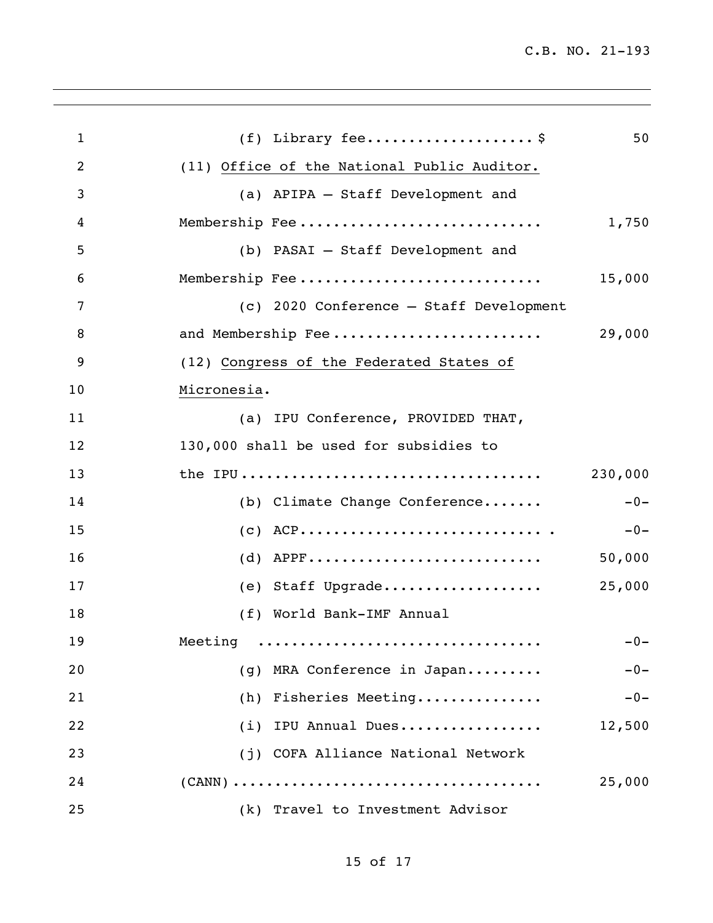| $\mathbf{1}$   | $(f)$ Library fee\$                         | 50      |
|----------------|---------------------------------------------|---------|
| $\overline{2}$ | (11) Office of the National Public Auditor. |         |
| 3              | (a) APIPA - Staff Development and           |         |
| 4              | Membership Fee                              | 1,750   |
| 5              | (b) PASAI - Staff Development and           |         |
| 6              | Membership Fee                              | 15,000  |
| 7              | (c) 2020 Conference - Staff Development     |         |
| 8              | and Membership Fee                          | 29,000  |
| 9              | (12) Congress of the Federated States of    |         |
| 10             | Micronesia.                                 |         |
| 11             | (a) IPU Conference, PROVIDED THAT,          |         |
| 12             | 130,000 shall be used for subsidies to      |         |
| 13             |                                             | 230,000 |
| 14             | (b) Climate Change Conference               | $-0-$   |
| 15             |                                             | $-0-$   |
| 16             |                                             | 50,000  |
| 17             | (e) Staff Upgrade                           | 25,000  |
| 18             | (f) World Bank-IMF Annual                   |         |
| 19             | Meeting                                     | $-0-$   |
| 20             | (g) MRA Conference in Japan                 | $-0-$   |
| 21             | (h) Fisheries Meeting                       | $-0-$   |
| 22             | (i) IPU Annual Dues                         | 12,500  |
| 23             | (j) COFA Alliance National Network          |         |
| 24             |                                             | 25,000  |
| 25             | (k) Travel to Investment Advisor            |         |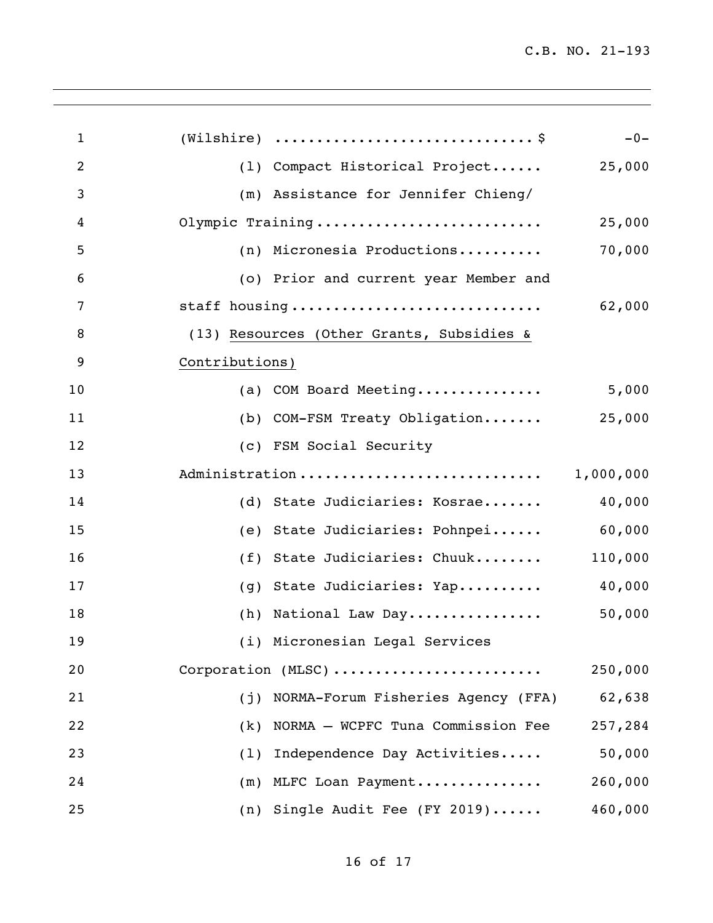| $\mathbf{1}$   |                |                                           | $-0-$     |
|----------------|----------------|-------------------------------------------|-----------|
| $\overline{2}$ |                | (1) Compact Historical Project            | 25,000    |
| 3              |                | (m) Assistance for Jennifer Chieng/       |           |
| 4              |                | Olympic Training                          | 25,000    |
| 5              |                | (n) Micronesia Productions                | 70,000    |
| 6              |                | (o) Prior and current year Member and     |           |
| 7              |                | staff housing                             | 62,000    |
| 8              |                | (13) Resources (Other Grants, Subsidies & |           |
| 9              | Contributions) |                                           |           |
| 10             |                | (a) COM Board Meeting                     | 5,000     |
| 11             |                | (b) COM-FSM Treaty Obligation             | 25,000    |
| 12             |                | (c) FSM Social Security                   |           |
| 13             |                | Administration                            | 1,000,000 |
| 14             |                | (d) State Judiciaries: Kosrae             | 40,000    |
| 15             |                | (e) State Judiciaries: Pohnpei            | 60,000    |
| 16             |                | (f) State Judiciaries: Chuuk              | 110,000   |
| 17             |                | (g) State Judiciaries: Yap                | 40,000    |
| 18             |                | (h) National Law Day                      | 50,000    |
| 19             |                | (i) Micronesian Legal Services            |           |
| 20             |                | Corporation (MLSC)                        | 250,000   |
| 21             | (j)            | NORMA-Forum Fisheries Agency (FFA)        | 62,638    |
| 22             | (k)            | NORMA - WCPFC Tuna Commission Fee         | 257,284   |
| 23             | (1)            | Independence Day Activities               | 50,000    |
| 24             |                | (m) MLFC Loan Payment                     | 260,000   |
| 25             |                | (n) Single Audit Fee (FY 2019)            | 460,000   |